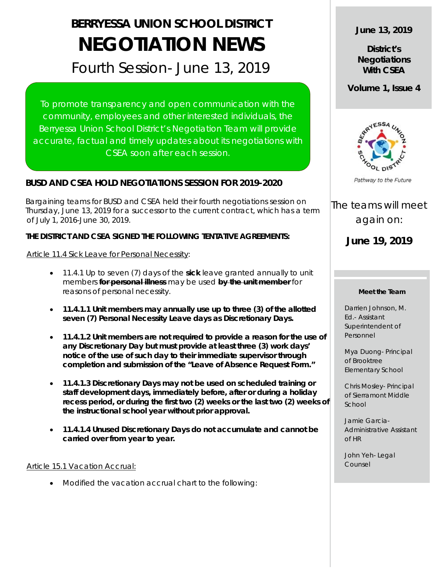# **BERRYESSA UNION SCHOOL DISTRICT NEGOTIATION NEWS**

## Fourth Session- June 13, 2019

To promote transparency and open communication with the community, employees and other interested individuals, the Berryessa Union School District's Negotiation Team will provide accurate, factual and timely updates about its negotiations with CSEA soon after each session.

### **BUSD AND CSEA HOLD NEGOTIATIONS SESSION FOR 2019-2020**

 Bargaining teams for BUSD and CSEA held their fourth negotiations session on Thursday, June 13, 2019 for a successor to the current contract, which has a term of July 1, 2016-June 30, 2019.

#### **THE DISTRICT AND CSEA SIGNED THE FOLLOWING TENTATIVE AGREEMENTS:**

Article 11.4 Sick Leave for Personal Necessity:

- 11.4.1 Up to seven (7) days of the **sick** leave granted annually to unit members **for personal illness** may be used **by the unit member** for reasons of personal necessity.
- **11.4.1.1 Unit members may annually use up to three (3) of the allotted seven (7) Personal Necessity Leave days as Discretionary Days.**
- **11.4.1.2 Unit members are not required to provide a reason for the use of any Discretionary Day but must provide at least three (3) work days' notice of the use of such day to their immediate supervisor through completion and submission of the "Leave of Absence Request Form."**
- **11.4.1.3 Discretionary Days may not be used on scheduled training or staff development days, immediately before, after or during a holiday recess period, or during the first two (2) weeks or the last two (2) weeks of the instructional school year without prior approval.**
- **11.4.1.4 Unused Discretionary Days do not accumulate and cannot be carried over from year to year.**

#### Article 15.1 Vacation Accrual:

• Modified the vacation accrual chart to the following:

**June 13, 2019**

**District's Negotiations With CSEA**

**Volume 1, Issue 4**



Pathway to the Future

The teams will meet again on:

**June 19, 2019**

#### **Meet the Team**

Darrien Johnson, M. Ed.- Assistant Superintendent of Personnel

Mya Duong- Principal of Brooktree Elementary School

Chris Mosley- Principal of Sierramont Middle School

Jamie Garcia-Administrative Assistant of HR

John Yeh- Legal Counsel